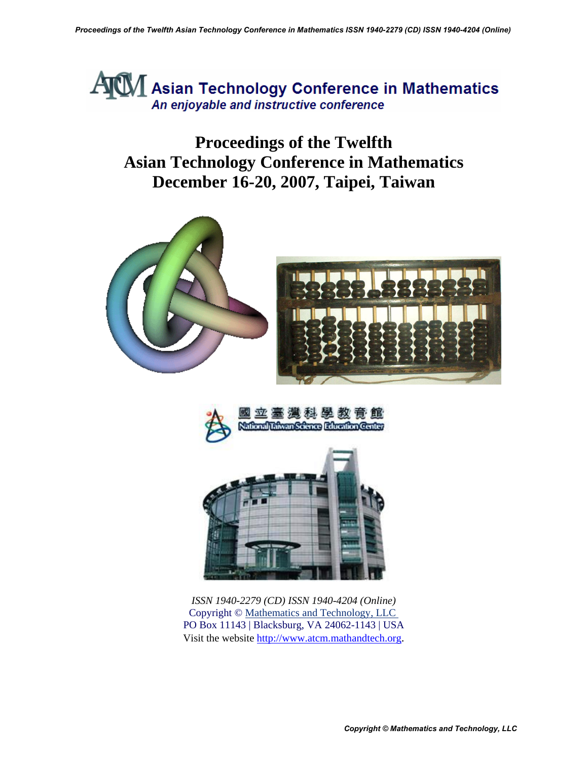

**Proceedings of the Twelfth Asian Technology Conference in Mathematics December 16-20, 2007, Taipei, Taiwan** 





*ISSN 1940-2279 (CD) ISSN 1940-4204 (Online)*  Copyright © [Mathematics and Technology, LLC](http://mathandtech.org/)  PO Box 11143 | Blacksburg, VA 24062-1143 | USA Visit the website [http://www.atcm.mathandtech.org](http://www.atcm.mathandtech.org/).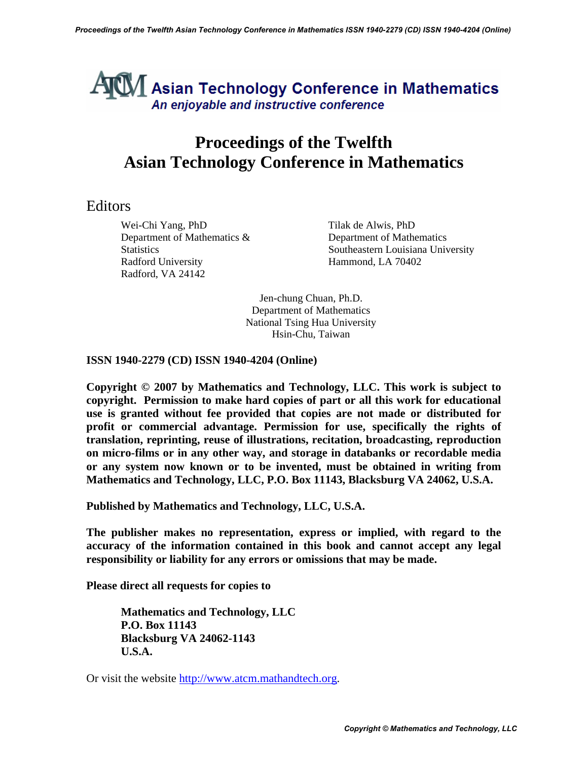### $\mathbb{U}$  Asian Technology Conference in Mathematics An enjoyable and instructive conference

#### **Proceedings of the Twelfth Asian Technology Conference in Mathematics**

#### Editors

Wei-Chi Yang, PhD Tilak de Alwis, PhD Department of Mathematics & Department of Mathematics Radford University Hammond, LA 70402 Radford, VA 24142

Statistics Southeastern Louisiana University

Jen-chung Chuan, Ph.D. Department of Mathematics National Tsing Hua University Hsin-Chu, Taiwan

**ISSN 1940-2279 (CD) ISSN 1940-4204 (Online)** 

**Copyright © 2007 by Mathematics and Technology, LLC. This work is subject to copyright. Permission to make hard copies of part or all this work for educational use is granted without fee provided that copies are not made or distributed for profit or commercial advantage. Permission for use, specifically the rights of translation, reprinting, reuse of illustrations, recitation, broadcasting, reproduction on micro-films or in any other way, and storage in databanks or recordable media or any system now known or to be invented, must be obtained in writing from Mathematics and Technology, LLC, P.O. Box 11143, Blacksburg VA 24062, U.S.A.** 

**Published by Mathematics and Technology, LLC, U.S.A.** 

**The publisher makes no representation, express or implied, with regard to the accuracy of the information contained in this book and cannot accept any legal responsibility or liability for any errors or omissions that may be made.** 

**Please direct all requests for copies to** 

**Mathematics and Technology, LLC P.O. Box 11143 Blacksburg VA 24062-1143 U.S.A.** 

Or visit the website [http://www.atcm.mathandtech.org.](http://www.atcm.mathandtech.org/)